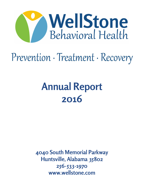

# Prevention · Treatment · Recovery

## **Annual Report 2016**

**4040 South Memorial Parkway Huntsville, Alabama 35802 256-533-1970 www.wellstone.com**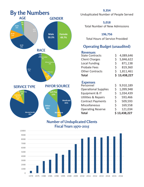

Unduplicated Number of People Served

**5,018** Total Number of New Admissions

### **196,756**

Total Hours of Service Provided

### **Operating Budget (unaudited)**

### **Revenues**

| <b>Total</b>           |    | \$13,438,227 |
|------------------------|----|--------------|
| <b>Other Contracts</b> | S. | 1,811,461    |
| <b>Probate Fees</b>    | Ś. | 819,360      |
| <b>Local Funding</b>   | Ś. | 871,138      |
| <b>Client Charges</b>  | Ś  | 5,846,622    |
| <b>State Contracts</b> |    | 4,089,646    |

### **Expenses**

| <b>Total</b>                   |    | \$13,438,227 |
|--------------------------------|----|--------------|
| <b>Operating Reserve</b>       | Ś  | 121,034      |
| <b>Miscellaneous</b>           | Ś. | 169,558      |
| <b>Contract Payments</b>       | Ś. | 509,593      |
| <b>Utilities &amp; Repairs</b> | Ś. | 593,466      |
| Equipment & IT                 | Ś  | 1,034,439    |
| <b>Operational Supplies</b>    | Ś  | 1,099,948    |
| Personnel                      | Ś  | 9,910,189    |

### **Number of Unduplicated Clients Fiscal Years 1970-2015**

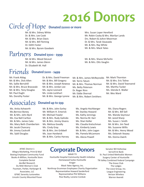# **2016 Donors**

Mrs. Susan Loper Hereford

### Circle of Hope **Donated \$1000 or more**

Mr. & Mrs. Sidney White Dr. & Mrs. Lee Cook Mr. & Mrs. Brian Davis Mr. & Mrs. Bill Fleming Dr. Edith Foster Mr. & Mrs. Byrom Goodwin

### **Donated \$500 - \$999**  Partners

Mr. & Mrs. Wood DeLeuil Mr. & Mrs. James Glenn Dr. Elizabeth M. Hall

#### **Donated \$100 - \$499** Friends

Mr. Frank Aldag Mr. & Mrs. Dick Allen Ms. Sallie Berryhill Mr. & Mrs. Bruce Brasseale Mr. & Mrs. Tony Douglas Mr. Paul Dughi Ms. Dorothy Foster

Dr. & Mrs. David Freeman Mr. & Mrs. Bill Gregory Mr. & Mrs. Joseph Keweza Mr. & Mrs. Jordan Lee Ms. Jayne Leonard Ms. Linda Lockhart Mr. & Mrs. George Lyrene

#### **Donated up to \$99** Associates

Ms. Anita Ashworth Ms.Bernice Boney Mr. & Mrs. John Byrd Ms. Eva Nell Carlton Mr. & Mrs. James Cato Ms. Mary Beth Chamberlain Mr. Jacob Chancery Mr. Jimmy Cockroft Ms. Sybil Douglas

Mr. & Mrs. John Earley Mr. William H. Emerick Mr. Michael Fowler Mr. & Mrs. Rudy Galindo Mr. & Mrs. Jimmy Givens Ms. Melissa Goodly Ms. Cindy Gray Mr. & Mrs. Jim Gribbell Ms. Joan Hardwick Mr. & Mrs. Carlos Harvey Mr. Robin Cozby & Mrs. Marilyn Lands Drs. Robert & JoAnn Moorman Dr. & Mrs. Tarak Vasavada Mr. & Mrs. Ray White Mr. & Mrs. Mack Yates

Mr. & Mrs. Shane McFarlin Mr. & Mrs. Otis Vaughn

Mr. & Mrs. James McReynolds Mr. Terris Tatum Mr. & Mrs. Thomas Norman Ms. Betty Peterson Dr. Roger Rinn Mr. Eddie Sherrod Mr. & Mrs. Robert Smithers

Mr. Mark Thornton Mr. & Mrs. Eric Toline Mr. & Mrs. David Townsend Ms. Martha Tucker Ms. Glenda K. Waller Mr. Wes Ward

- Ms. Angela Hochberger Mr. Stanley Howard Ms. Kathy Jennings Ms. Norma M. Karr Ms. Shari Keller Ms. Claudia Kretschman Ms. Kimberly Lewis Mr. & Mrs. John Logan Ms. Pamela McLemore Ms. Alecia Powell
- Ms. Diana Rogers Mr. & Mrs. Bill Sell Ms. Wanda Seymour Mr. Jared Sharp Ms. Susan J. Smith Mr. & Mrs. Jim Teed Ms. Suzanne Willis Mr. & Mrs. Henry Wood Ms. Deborah Veazey Ms. Donna Zwerk

Allegra Marketing, Print & Mail Boeing Employee Community Fund Books-A-Million, Huntsville Store Complete Dental deciBel Research Du Midi Woman's Club Fountain, Parker, Harbarger & Associates, LLC GFWC Serenity Juniorettes Lincoln County Mounted Posse

### AFWC District 1 **Corporate Donors**

WAAY-TV Huntsville Hospital Community Health Initiative Homewood Suites Huntsville Kroger Mack Yates Agency, Inc. Northrop Grumman Employees Charity Organization Representative Howard Sanderford Representative Phil Williams Rise Realty, Loraine Cordule

Senator Bill Holtzclaw ServisFirst Bank St. Paul United Methodist Women Surgery Center of Huntsville TN Valley Combined Federal Campaign The Grace Club The Ledges The Lioce Group, Inc. League Engineering Verizon Wireless Warren Averett